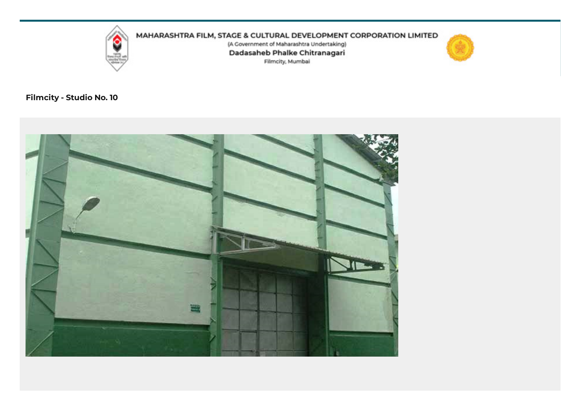

MAHARASHTRA FILM, STAGE & CULTURAL DEVELOPMENT CORPORATION LIMITED

(A Government of Maharashtra Undertaking) Dadasaheb Phalke Chitranagari Filmcity, Mumbai



**Filmcity - Studio No. 10**

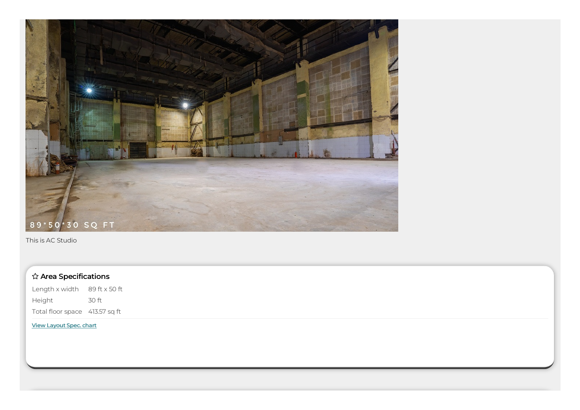

This is AC Studio

# Area Specifications Length  $x$  width 89 ft  $x$  50 ft Height 30 ft Total floor space 413.57 sq ft View [Layout](http://worldindia.in/fcwebsite1/studio10.html#) Spec. chart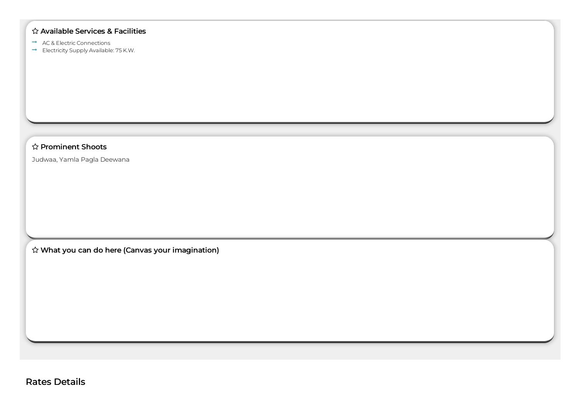## Available Services & Facilities

- $\rightarrow$  AC & Electric Connections
- $\rightarrow$  Electricity Supply Available: 75 K.W.

### ☆ Prominent Shoots

Judwaa, Yamla Pagla Deewana

 $\hat{X}$  What you can do here (Canvas your imagination)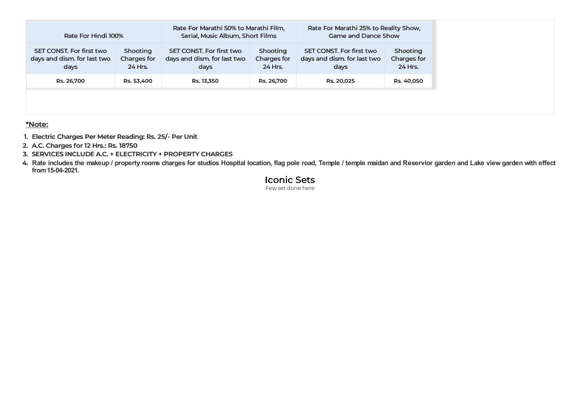| Rate For Hindi 100%                                                    |                                    | Rate For Marathi 50% to Marathi Film,<br>Serial, Music Album, Short Films |                                    | Rate For Marathi 25% to Reality Show,<br><b>Game and Dance Show</b>       |                                    |
|------------------------------------------------------------------------|------------------------------------|---------------------------------------------------------------------------|------------------------------------|---------------------------------------------------------------------------|------------------------------------|
| <b>SET CONST. For first two</b><br>days and dism. for last two<br>days | Shooting<br>Charges for<br>24 Hrs. | <b>SET CONST. For first two</b><br>days and dism. for last two<br>days    | Shooting<br>Charges for<br>24 Hrs. | <b>SET CONST. For first two</b><br>days and dism. for last two<br>$d$ ays | Shooting<br>Charges for<br>24 Hrs. |
| <b>Rs. 26,700</b>                                                      | <b>Rs. 53,400</b>                  | Rs. 13,350                                                                | <b>Rs. 26,700</b>                  | Rs. 20,025                                                                | Rs. 40,050                         |
|                                                                        |                                    |                                                                           |                                    |                                                                           |                                    |

#### **\*Note:**

- **1. Electric Charges Per Meter Reading: Rs. 25/- Per Unit**
- **2. A.C. Charges for 12 Hrs.: Rs. 18750**
- **3. SERVICES INCLUDE A.C. + ELECTRICITY + PROPERTY CHARGES**
- 4. Rate includes the makeup / property rooms charges for studios Hospital location, flag pole road, Temple / temple maidan and Reservior garden and Lake view garden with effect **from15-04-2021.**

## Iconic Sets

Fewset done here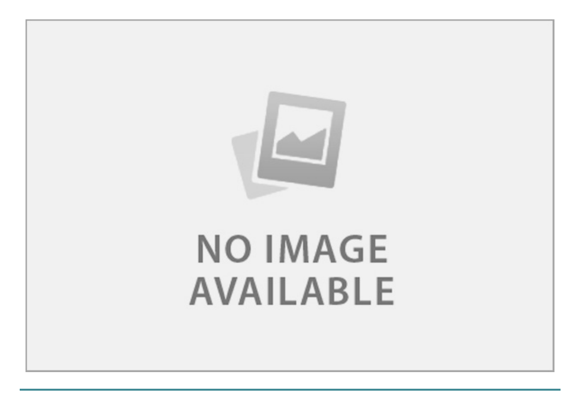

# **NO IMAGE AVAILABLE**